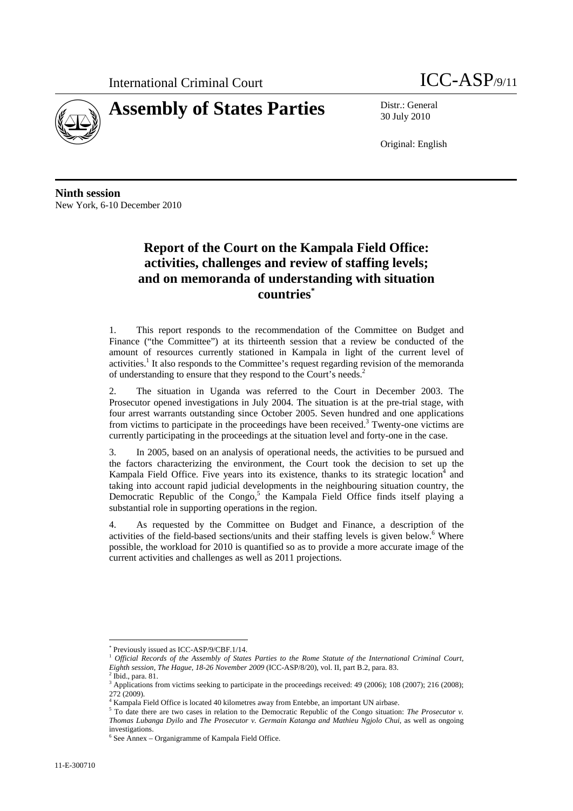



30 July 2010

Original: English

**Ninth session**  New York, 6-10 December 2010

# **Report of the Court on the Kampala Field Office: activities, challenges and review of staffing levels; and on memoranda of understanding with situation countries\***

1. This report responds to the recommendation of the Committee on Budget and Finance ("the Committee") at its thirteenth session that a review be conducted of the amount of resources currently stationed in Kampala in light of the current level of activities.<sup>1</sup> It also responds to the Committee's request regarding revision of the memoranda of understanding to ensure that they respond to the Court's needs.2

2. The situation in Uganda was referred to the Court in December 2003. The Prosecutor opened investigations in July 2004. The situation is at the pre-trial stage, with four arrest warrants outstanding since October 2005. Seven hundred and one applications from victims to participate in the proceedings have been received.<sup>3</sup> Twenty-one victims are currently participating in the proceedings at the situation level and forty-one in the case.

3. In 2005, based on an analysis of operational needs, the activities to be pursued and the factors characterizing the environment, the Court took the decision to set up the Kampala Field Office. Five years into its existence, thanks to its strategic location $4$  and taking into account rapid judicial developments in the neighbouring situation country, the Democratic Republic of the Congo,<sup>5</sup> the Kampala Field Office finds itself playing a substantial role in supporting operations in the region.

4. As requested by the Committee on Budget and Finance, a description of the activities of the field-based sections/units and their staffing levels is given below.<sup>6</sup> Where possible, the workload for 2010 is quantified so as to provide a more accurate image of the current activities and challenges as well as 2011 projections.

 $\overline{a}$ \* Previously issued as ICC-ASP/9/CBF.1/14.

<sup>1</sup> *Official Records of the Assembly of States Parties to the Rome Statute of the International Criminal Court, Eighth session, The Hague, 18-26 November 2009* (ICC-ASP/8/20), vol. II, part B.2, para. 83. 2

Ibid., para. 81.

<sup>&</sup>lt;sup>3</sup> Applications from victims seeking to participate in the proceedings received: 49 (2006); 108 (2007); 216 (2008);

<sup>272 (2009).&</sup>lt;br><sup>4</sup> Kampala Field Office is located 40 kilometres away from Entebbe, an important UN airbase.<br><sup>5</sup> To data thata are two gases in relation to the Democratic Benyblic of the Conso situation

<sup>&</sup>lt;sup>5</sup> To date there are two cases in relation to the Democratic Republic of the Congo situation: *The Prosecutor v. Thomas Lubanga Dyilo* and *The Prosecutor v. Germain Katanga and Mathieu Ngjolo Chui*, as well as ongoing investigations.

 $6$  See Annex – Organigramme of Kampala Field Office.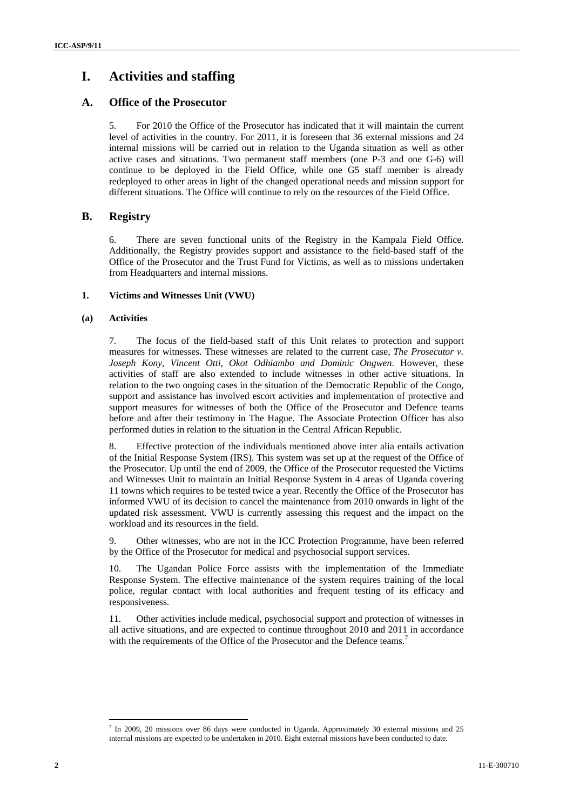# **I. Activities and staffing**

## **A. Office of the Prosecutor**

5. For 2010 the Office of the Prosecutor has indicated that it will maintain the current level of activities in the country. For 2011, it is foreseen that 36 external missions and 24 internal missions will be carried out in relation to the Uganda situation as well as other active cases and situations. Two permanent staff members (one P-3 and one G-6) will continue to be deployed in the Field Office, while one G5 staff member is already redeployed to other areas in light of the changed operational needs and mission support for different situations. The Office will continue to rely on the resources of the Field Office.

## **B. Registry**

6. There are seven functional units of the Registry in the Kampala Field Office. Additionally, the Registry provides support and assistance to the field-based staff of the Office of the Prosecutor and the Trust Fund for Victims, as well as to missions undertaken from Headquarters and internal missions.

## **1. Victims and Witnesses Unit (VWU)**

### **(a) Activities**

7. The focus of the field-based staff of this Unit relates to protection and support measures for witnesses. These witnesses are related to the current case, *The Prosecutor v. Joseph Kony, Vincent Otti, Okot Odhiambo and Dominic Ongwen*. However, these activities of staff are also extended to include witnesses in other active situations. In relation to the two ongoing cases in the situation of the Democratic Republic of the Congo, support and assistance has involved escort activities and implementation of protective and support measures for witnesses of both the Office of the Prosecutor and Defence teams before and after their testimony in The Hague. The Associate Protection Officer has also performed duties in relation to the situation in the Central African Republic.

8. Effective protection of the individuals mentioned above inter alia entails activation of the Initial Response System (IRS). This system was set up at the request of the Office of the Prosecutor. Up until the end of 2009, the Office of the Prosecutor requested the Victims and Witnesses Unit to maintain an Initial Response System in 4 areas of Uganda covering 11 towns which requires to be tested twice a year. Recently the Office of the Prosecutor has informed VWU of its decision to cancel the maintenance from 2010 onwards in light of the updated risk assessment. VWU is currently assessing this request and the impact on the workload and its resources in the field.

9. Other witnesses, who are not in the ICC Protection Programme, have been referred by the Office of the Prosecutor for medical and psychosocial support services.

10. The Ugandan Police Force assists with the implementation of the Immediate Response System. The effective maintenance of the system requires training of the local police, regular contact with local authorities and frequent testing of its efficacy and responsiveness.

11. Other activities include medical, psychosocial support and protection of witnesses in all active situations, and are expected to continue throughout 2010 and 2011 in accordance with the requirements of the Office of the Prosecutor and the Defence teams.<sup>7</sup>

 $\overline{a}$ 

<sup>&</sup>lt;sup>7</sup> In 2009, 20 missions over 86 days were conducted in Uganda. Approximately 30 external missions and 25 internal missions are expected to be undertaken in 2010. Eight external missions have been conducted to date.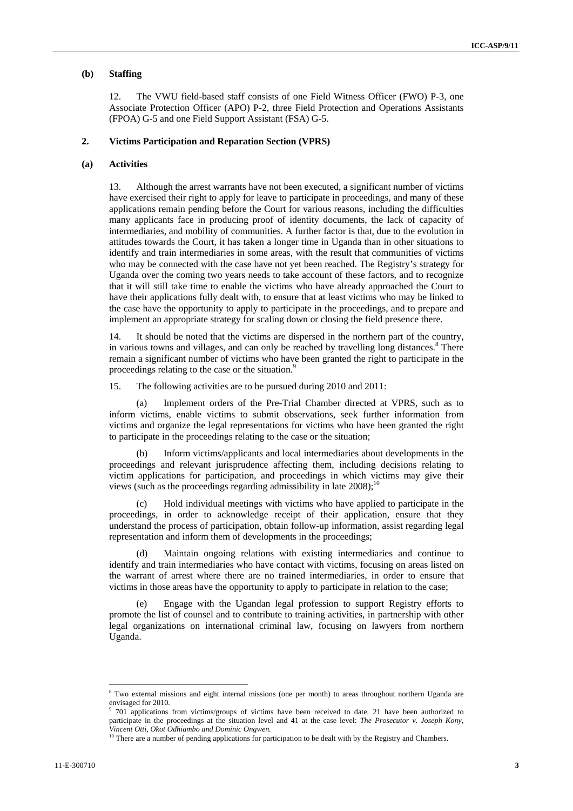#### **(b) Staffing**

12. The VWU field-based staff consists of one Field Witness Officer (FWO) P-3, one Associate Protection Officer (APO) P-2, three Field Protection and Operations Assistants (FPOA) G-5 and one Field Support Assistant (FSA) G-5.

#### **2. Victims Participation and Reparation Section (VPRS)**

#### **(a) Activities**

13. Although the arrest warrants have not been executed, a significant number of victims have exercised their right to apply for leave to participate in proceedings, and many of these applications remain pending before the Court for various reasons, including the difficulties many applicants face in producing proof of identity documents, the lack of capacity of intermediaries, and mobility of communities. A further factor is that, due to the evolution in attitudes towards the Court, it has taken a longer time in Uganda than in other situations to identify and train intermediaries in some areas, with the result that communities of victims who may be connected with the case have not yet been reached. The Registry's strategy for Uganda over the coming two years needs to take account of these factors, and to recognize that it will still take time to enable the victims who have already approached the Court to have their applications fully dealt with, to ensure that at least victims who may be linked to the case have the opportunity to apply to participate in the proceedings, and to prepare and implement an appropriate strategy for scaling down or closing the field presence there.

14. It should be noted that the victims are dispersed in the northern part of the country, in various towns and villages, and can only be reached by travelling long distances.<sup>8</sup> There remain a significant number of victims who have been granted the right to participate in the proceedings relating to the case or the situation.<sup>9</sup>

15. The following activities are to be pursued during 2010 and 2011:

(a) Implement orders of the Pre-Trial Chamber directed at VPRS, such as to inform victims, enable victims to submit observations, seek further information from victims and organize the legal representations for victims who have been granted the right to participate in the proceedings relating to the case or the situation;

(b) Inform victims/applicants and local intermediaries about developments in the proceedings and relevant jurisprudence affecting them, including decisions relating to victim applications for participation, and proceedings in which victims may give their views (such as the proceedings regarding admissibility in late  $2008$ );<sup>10</sup>

(c) Hold individual meetings with victims who have applied to participate in the proceedings, in order to acknowledge receipt of their application, ensure that they understand the process of participation, obtain follow-up information, assist regarding legal representation and inform them of developments in the proceedings;

Maintain ongoing relations with existing intermediaries and continue to identify and train intermediaries who have contact with victims, focusing on areas listed on the warrant of arrest where there are no trained intermediaries, in order to ensure that victims in those areas have the opportunity to apply to participate in relation to the case;

(e) Engage with the Ugandan legal profession to support Registry efforts to promote the list of counsel and to contribute to training activities, in partnership with other legal organizations on international criminal law, focusing on lawyers from northern Uganda.

 $\overline{a}$ 

<sup>&</sup>lt;sup>8</sup> Two external missions and eight internal missions (one per month) to areas throughout northern Uganda are envisaged for 2010.

<sup>&</sup>lt;sup>9</sup> 701 applications from victims/groups of victims have been received to date. 21 have been authorized to participate in the proceedings at the situation level and 41 at the case level: *The Prosecutor v. Joseph Kony, Vincent Otti, Okot Odhiambo and Dominic Ongwen.* 

 $10$  There are a number of pending applications for participation to be dealt with by the Registry and Chambers.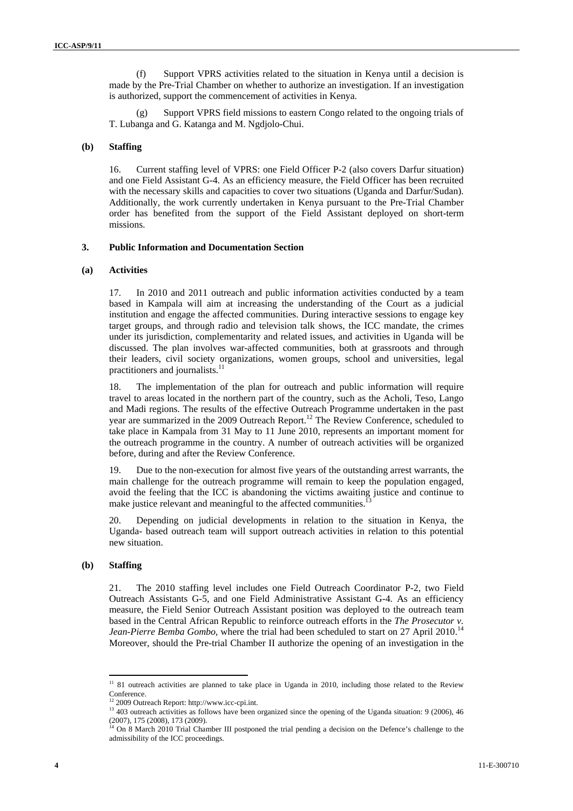(f) Support VPRS activities related to the situation in Kenya until a decision is made by the Pre-Trial Chamber on whether to authorize an investigation. If an investigation is authorized, support the commencement of activities in Kenya.

(g) Support VPRS field missions to eastern Congo related to the ongoing trials of T. Lubanga and G. Katanga and M. Ngdjolo-Chui.

#### **(b) Staffing**

16. Current staffing level of VPRS: one Field Officer P-2 (also covers Darfur situation) and one Field Assistant G-4. As an efficiency measure, the Field Officer has been recruited with the necessary skills and capacities to cover two situations (Uganda and Darfur/Sudan). Additionally, the work currently undertaken in Kenya pursuant to the Pre-Trial Chamber order has benefited from the support of the Field Assistant deployed on short-term missions.

#### **3. Public Information and Documentation Section**

#### **(a) Activities**

17. In 2010 and 2011 outreach and public information activities conducted by a team based in Kampala will aim at increasing the understanding of the Court as a judicial institution and engage the affected communities. During interactive sessions to engage key target groups, and through radio and television talk shows, the ICC mandate, the crimes under its jurisdiction, complementarity and related issues, and activities in Uganda will be discussed. The plan involves war-affected communities, both at grassroots and through their leaders, civil society organizations, women groups, school and universities, legal practitioners and journalists.<sup>11</sup>

18. The implementation of the plan for outreach and public information will require travel to areas located in the northern part of the country, such as the Acholi, Teso, Lango and Madi regions. The results of the effective Outreach Programme undertaken in the past year are summarized in the 2009 Outreach Report.12 The Review Conference, scheduled to take place in Kampala from 31 May to 11 June 2010, represents an important moment for the outreach programme in the country. A number of outreach activities will be organized before, during and after the Review Conference.

19. Due to the non-execution for almost five years of the outstanding arrest warrants, the main challenge for the outreach programme will remain to keep the population engaged, avoid the feeling that the ICC is abandoning the victims awaiting justice and continue to make justice relevant and meaningful to the affected communities.

20. Depending on judicial developments in relation to the situation in Kenya, the Uganda- based outreach team will support outreach activities in relation to this potential new situation.

#### **(b) Staffing**

 $\overline{a}$ 

21. The 2010 staffing level includes one Field Outreach Coordinator P-2, two Field Outreach Assistants G-5, and one Field Administrative Assistant G-4. As an efficiency measure, the Field Senior Outreach Assistant position was deployed to the outreach team based in the Central African Republic to reinforce outreach efforts in the *The Prosecutor v. Jean-Pierre Bemba Gombo*, where the trial had been scheduled to start on 27 April 2010.<sup>14</sup> Moreover, should the Pre-trial Chamber II authorize the opening of an investigation in the

<sup>&</sup>lt;sup>11</sup> 81 outreach activities are planned to take place in Uganda in 2010, including those related to the Review Conference.

<sup>12 2009</sup> Outreach Report: http://www.icc-cpi.int.

<sup>&</sup>lt;sup>13</sup> 403 outreach activities as follows have been organized since the opening of the Uganda situation: 9 (2006), 46 (2007), 175 (2008), 173 (2009).

<sup>&</sup>lt;sup>14</sup> On 8 March 2010 Trial Chamber III postponed the trial pending a decision on the Defence's challenge to the admissibility of the ICC proceedings.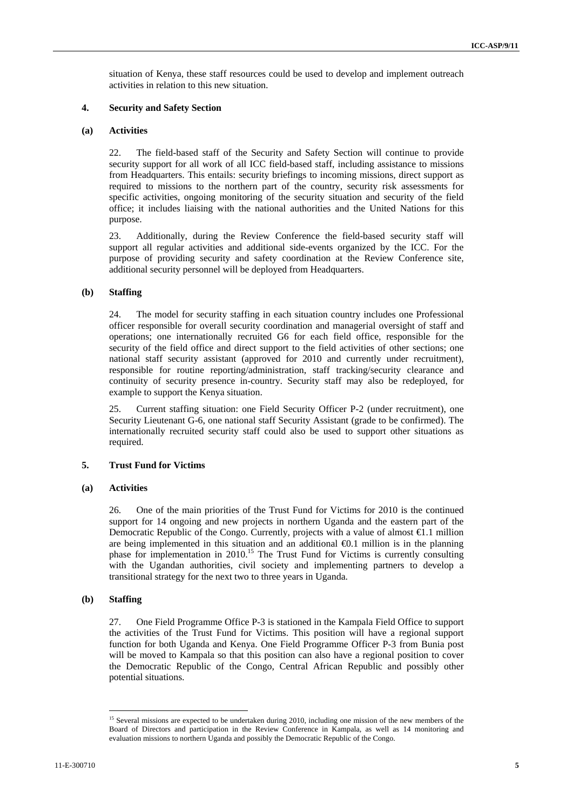situation of Kenya, these staff resources could be used to develop and implement outreach activities in relation to this new situation.

#### **4. Security and Safety Section**

#### **(a) Activities**

22. The field-based staff of the Security and Safety Section will continue to provide security support for all work of all ICC field-based staff, including assistance to missions from Headquarters. This entails: security briefings to incoming missions, direct support as required to missions to the northern part of the country, security risk assessments for specific activities, ongoing monitoring of the security situation and security of the field office; it includes liaising with the national authorities and the United Nations for this purpose.

23. Additionally, during the Review Conference the field-based security staff will support all regular activities and additional side-events organized by the ICC. For the purpose of providing security and safety coordination at the Review Conference site, additional security personnel will be deployed from Headquarters.

#### **(b) Staffing**

24. The model for security staffing in each situation country includes one Professional officer responsible for overall security coordination and managerial oversight of staff and operations; one internationally recruited G6 for each field office, responsible for the security of the field office and direct support to the field activities of other sections; one national staff security assistant (approved for 2010 and currently under recruitment), responsible for routine reporting/administration, staff tracking/security clearance and continuity of security presence in-country. Security staff may also be redeployed, for example to support the Kenya situation.

25. Current staffing situation: one Field Security Officer P-2 (under recruitment), one Security Lieutenant G-6, one national staff Security Assistant (grade to be confirmed). The internationally recruited security staff could also be used to support other situations as required.

#### **5. Trust Fund for Victims**

#### **(a) Activities**

26. One of the main priorities of the Trust Fund for Victims for 2010 is the continued support for 14 ongoing and new projects in northern Uganda and the eastern part of the Democratic Republic of the Congo. Currently, projects with a value of almost €1.1 million are being implemented in this situation and an additional  $\bigoplus$ . 1 million is in the planning phase for implementation in 2010.<sup>15</sup> The Trust Fund for Victims is currently consulting with the Ugandan authorities, civil society and implementing partners to develop a transitional strategy for the next two to three years in Uganda.

#### **(b) Staffing**

 $\overline{a}$ 

27. One Field Programme Office P-3 is stationed in the Kampala Field Office to support the activities of the Trust Fund for Victims. This position will have a regional support function for both Uganda and Kenya. One Field Programme Officer P-3 from Bunia post will be moved to Kampala so that this position can also have a regional position to cover the Democratic Republic of the Congo, Central African Republic and possibly other potential situations.

<sup>&</sup>lt;sup>15</sup> Several missions are expected to be undertaken during 2010, including one mission of the new members of the Board of Directors and participation in the Review Conference in Kampala, as well as 14 monitoring and evaluation missions to northern Uganda and possibly the Democratic Republic of the Congo.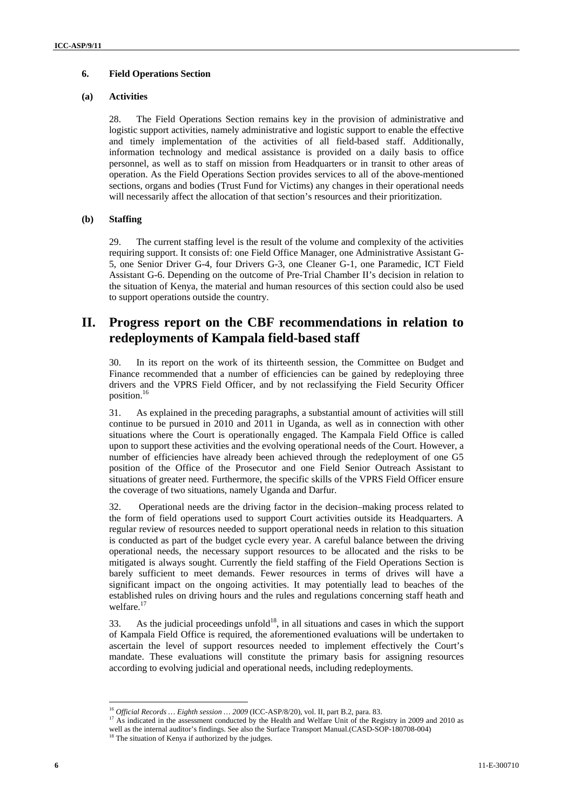### **6. Field Operations Section**

#### **(a) Activities**

28. The Field Operations Section remains key in the provision of administrative and logistic support activities, namely administrative and logistic support to enable the effective and timely implementation of the activities of all field-based staff. Additionally, information technology and medical assistance is provided on a daily basis to office personnel, as well as to staff on mission from Headquarters or in transit to other areas of operation. As the Field Operations Section provides services to all of the above-mentioned sections, organs and bodies (Trust Fund for Victims) any changes in their operational needs will necessarily affect the allocation of that section's resources and their prioritization.

### **(b) Staffing**

29. The current staffing level is the result of the volume and complexity of the activities requiring support. It consists of: one Field Office Manager, one Administrative Assistant G-5, one Senior Driver G-4, four Drivers G-3, one Cleaner G-1, one Paramedic, ICT Field Assistant G-6. Depending on the outcome of Pre-Trial Chamber II's decision in relation to the situation of Kenya, the material and human resources of this section could also be used to support operations outside the country.

## **II. Progress report on the CBF recommendations in relation to redeployments of Kampala field-based staff**

30. In its report on the work of its thirteenth session, the Committee on Budget and Finance recommended that a number of efficiencies can be gained by redeploying three drivers and the VPRS Field Officer, and by not reclassifying the Field Security Officer position.16

31. As explained in the preceding paragraphs, a substantial amount of activities will still continue to be pursued in 2010 and 2011 in Uganda, as well as in connection with other situations where the Court is operationally engaged. The Kampala Field Office is called upon to support these activities and the evolving operational needs of the Court. However, a number of efficiencies have already been achieved through the redeployment of one G5 position of the Office of the Prosecutor and one Field Senior Outreach Assistant to situations of greater need. Furthermore, the specific skills of the VPRS Field Officer ensure the coverage of two situations, namely Uganda and Darfur.

32. Operational needs are the driving factor in the decision–making process related to the form of field operations used to support Court activities outside its Headquarters. A regular review of resources needed to support operational needs in relation to this situation is conducted as part of the budget cycle every year. A careful balance between the driving operational needs, the necessary support resources to be allocated and the risks to be mitigated is always sought. Currently the field staffing of the Field Operations Section is barely sufficient to meet demands. Fewer resources in terms of drives will have a significant impact on the ongoing activities. It may potentially lead to beaches of the established rules on driving hours and the rules and regulations concerning staff heath and welfare. $17$ 

33. As the judicial proceedings unfold<sup>18</sup>, in all situations and cases in which the support of Kampala Field Office is required, the aforementioned evaluations will be undertaken to ascertain the level of support resources needed to implement effectively the Court's mandate. These evaluations will constitute the primary basis for assigning resources according to evolving judicial and operational needs, including redeployments.

 $\overline{a}$ 

<sup>&</sup>lt;sup>16</sup> *Official Records … Eighth session … 2009* (ICC-ASP/8/20), vol. II, part B.2, para. 83. 17 As indicated in the assessment conducted by the Health and Welfare Unit of the Registry in 2009 and 2010 as well as the internal auditor's findings. See also the Surface Transport Manual.(CASD-SOP-180708-004)<sup>18</sup> The situation of Kenya if authorized by the judges.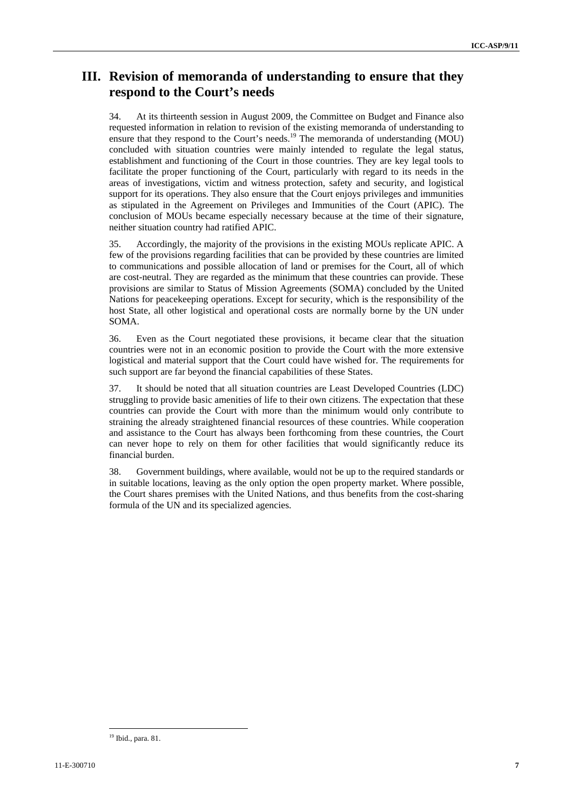## **III. Revision of memoranda of understanding to ensure that they respond to the Court's needs**

34. At its thirteenth session in August 2009, the Committee on Budget and Finance also requested information in relation to revision of the existing memoranda of understanding to ensure that they respond to the Court's needs.<sup>19</sup> The memoranda of understanding (MOU) concluded with situation countries were mainly intended to regulate the legal status, establishment and functioning of the Court in those countries. They are key legal tools to facilitate the proper functioning of the Court, particularly with regard to its needs in the areas of investigations, victim and witness protection, safety and security, and logistical support for its operations. They also ensure that the Court enjoys privileges and immunities as stipulated in the Agreement on Privileges and Immunities of the Court (APIC). The conclusion of MOUs became especially necessary because at the time of their signature, neither situation country had ratified APIC.

35. Accordingly, the majority of the provisions in the existing MOUs replicate APIC. A few of the provisions regarding facilities that can be provided by these countries are limited to communications and possible allocation of land or premises for the Court, all of which are cost-neutral. They are regarded as the minimum that these countries can provide. These provisions are similar to Status of Mission Agreements (SOMA) concluded by the United Nations for peacekeeping operations. Except for security, which is the responsibility of the host State, all other logistical and operational costs are normally borne by the UN under SOMA.

36. Even as the Court negotiated these provisions, it became clear that the situation countries were not in an economic position to provide the Court with the more extensive logistical and material support that the Court could have wished for. The requirements for such support are far beyond the financial capabilities of these States.

37. It should be noted that all situation countries are Least Developed Countries (LDC) struggling to provide basic amenities of life to their own citizens. The expectation that these countries can provide the Court with more than the minimum would only contribute to straining the already straightened financial resources of these countries. While cooperation and assistance to the Court has always been forthcoming from these countries, the Court can never hope to rely on them for other facilities that would significantly reduce its financial burden.

38. Government buildings, where available, would not be up to the required standards or in suitable locations, leaving as the only option the open property market. Where possible, the Court shares premises with the United Nations, and thus benefits from the cost-sharing formula of the UN and its specialized agencies.

 $\overline{a}$ 19 Ibid., para. 81.